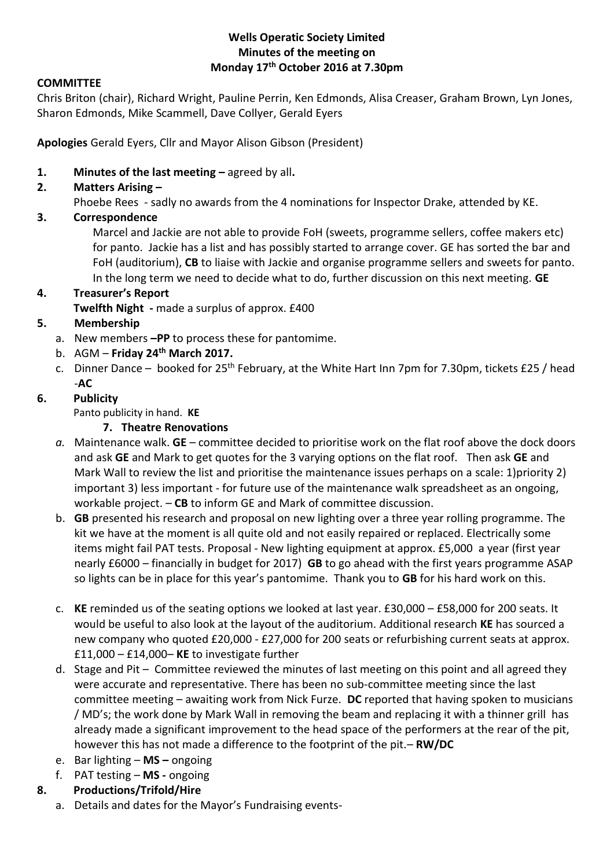#### **Wells Operatic Society Limited Minutes of the meeting on Monday 17th October 2016 at 7.30pm**

#### **COMMITTEE**

Chris Briton (chair), Richard Wright, Pauline Perrin, Ken Edmonds, Alisa Creaser, Graham Brown, Lyn Jones, Sharon Edmonds, Mike Scammell, Dave Collyer, Gerald Eyers

**Apologies** Gerald Eyers, Cllr and Mayor Alison Gibson (President)

**1. Minutes of the last meeting –** agreed by all**.**

# **2. Matters Arising –**

Phoebe Rees - sadly no awards from the 4 nominations for Inspector Drake, attended by KE.

## **3. Correspondence**

Marcel and Jackie are not able to provide FoH (sweets, programme sellers, coffee makers etc) for panto. Jackie has a list and has possibly started to arrange cover. GE has sorted the bar and FoH (auditorium), **CB** to liaise with Jackie and organise programme sellers and sweets for panto. In the long term we need to decide what to do, further discussion on this next meeting. **GE**

# **4. Treasurer's Report**

**Twelfth Night -** made a surplus of approx. £400

## **5. Membership**

- a. New members **–PP** to process these for pantomime.
- b. AGM **Friday 24th March 2017.**
- c. Dinner Dance booked for 25<sup>th</sup> February, at the White Hart Inn 7pm for 7.30pm, tickets £25 / head -**AC**

## **6. Publicity**

Panto publicity in hand. **KE**

## **7. Theatre Renovations**

- *a.* Maintenance walk. **GE** *–* committee decided to prioritise work on the flat roof above the dock doors and ask **GE** and Mark to get quotes for the 3 varying options on the flat roof. Then ask **GE** and Mark Wall to review the list and prioritise the maintenance issues perhaps on a scale: 1)priority 2) important 3) less important - for future use of the maintenance walk spreadsheet as an ongoing, workable project. – **CB** to inform GE and Mark of committee discussion.
- b. **GB** presented his research and proposal on new lighting over a three year rolling programme. The kit we have at the moment is all quite old and not easily repaired or replaced. Electrically some items might fail PAT tests. Proposal - New lighting equipment at approx. £5,000 a year (first year nearly £6000 – financially in budget for 2017) **GB** to go ahead with the first years programme ASAP so lights can be in place for this year's pantomime. Thank you to **GB** for his hard work on this.
- c. **KE** reminded us of the seating options we looked at last year. £30,000 £58,000 for 200 seats. It would be useful to also look at the layout of the auditorium. Additional research **KE** has sourced a new company who quoted £20,000 - £27,000 for 200 seats or refurbishing current seats at approx. £11,000 – £14,000– **KE** to investigate further
- d. Stage and Pit Committee reviewed the minutes of last meeting on this point and all agreed they were accurate and representative. There has been no sub-committee meeting since the last committee meeting – awaiting work from Nick Furze. **DC** reported that having spoken to musicians / MD's; the work done by Mark Wall in removing the beam and replacing it with a thinner grill has already made a significant improvement to the head space of the performers at the rear of the pit, however this has not made a difference to the footprint of the pit.– **RW/DC**
- e. Bar lighting **MS –** ongoing
- f. PAT testing **MS -** ongoing
- **8. Productions/Trifold/Hire**
	- a. Details and dates for the Mayor's Fundraising events-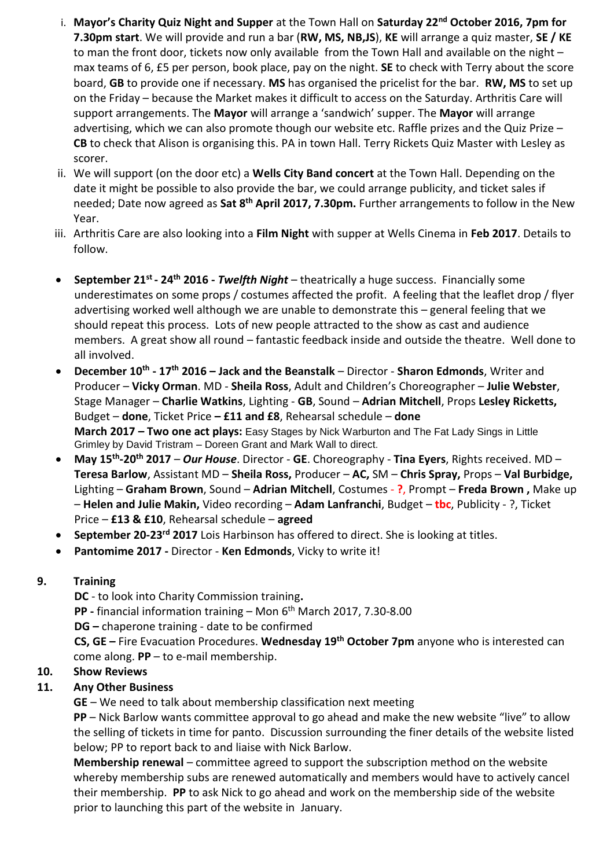- i. **Mayor's Charity Quiz Night and Supper** at the Town Hall on **Saturday 22nd October 2016, 7pm for 7.30pm start**. We will provide and run a bar (**RW, MS, NB,JS**), **KE** will arrange a quiz master, **SE / KE** to man the front door, tickets now only available from the Town Hall and available on the night – max teams of 6, £5 per person, book place, pay on the night. **SE** to check with Terry about the score board, **GB** to provide one if necessary. **MS** has organised the pricelist for the bar. **RW, MS** to set up on the Friday – because the Market makes it difficult to access on the Saturday. Arthritis Care will support arrangements. The **Mayor** will arrange a 'sandwich' supper. The **Mayor** will arrange advertising, which we can also promote though our website etc. Raffle prizes and the Quiz Prize -**CB** to check that Alison is organising this. PA in town Hall. Terry Rickets Quiz Master with Lesley as scorer.
- ii. We will support (on the door etc) a **Wells City Band concert** at the Town Hall. Depending on the date it might be possible to also provide the bar, we could arrange publicity, and ticket sales if needed; Date now agreed as **Sat 8th April 2017, 7.30pm.** Further arrangements to follow in the New Year.
- iii. Arthritis Care are also looking into a **Film Night** with supper at Wells Cinema in **Feb 2017**. Details to follow.
- **•** September 21<sup>st</sup> 24<sup>th</sup> 2016 *Twelfth Night* theatrically a huge success. Financially some underestimates on some props / costumes affected the profit. A feeling that the leaflet drop / flyer advertising worked well although we are unable to demonstrate this – general feeling that we should repeat this process. Lots of new people attracted to the show as cast and audience members. A great show all round – fantastic feedback inside and outside the theatre. Well done to all involved.
- **December 10th - 17th 2016 – Jack and the Beanstalk** Director **Sharon Edmonds**, Writer and Producer – **Vicky Orman**. MD - **Sheila Ross**, Adult and Children's Choreographer – **Julie Webster**, Stage Manager – **Charlie Watkins**, Lighting - **GB**, Sound – **Adrian Mitchell**, Props **Lesley Ricketts,**  Budget – **done**, Ticket Price **– £11 and £8**, Rehearsal schedule – **done March 2017 – Two one act plays:** Easy Stages by Nick Warburton and The Fat Lady Sings in Little Grimley by David Tristram – Doreen Grant and Mark Wall to direct.
- **May 15th -20th 2017**  *Our House*. Director **GE**. Choreography **Tina Eyers**, Rights received. MD **Teresa Barlow**, Assistant MD – **Sheila Ross,** Producer – **AC,** SM – **Chris Spray,** Props – **Val Burbidge,**  Lighting – **Graham Brown**, Sound – **Adrian Mitchell**, Costumes - **?**, Prompt – **Freda Brown ,** Make up – **Helen and Julie Makin,** Video recording – **Adam Lanfranchi**, Budget – **tbc**, Publicity - ?, Ticket Price – **£13 & £10**, Rehearsal schedule – **agreed**
- **September 20-23rd 2017** Lois Harbinson has offered to direct. She is looking at titles.
- **Pantomime 2017 -** Director **Ken Edmonds**, Vicky to write it!

#### **9. Training**

**DC** - to look into Charity Commission training**. PP -** financial information training – Mon 6th March 2017, 7.30-8.00 **DG –** chaperone training - date to be confirmed **CS, GE –** Fire Evacuation Procedures. **Wednesday 19th October 7pm** anyone who is interested can come along. **PP** – to e-mail membership. **10. Show Reviews**

# **11. Any Other Business**

**GE** – We need to talk about membership classification next meeting

**PP** – Nick Barlow wants committee approval to go ahead and make the new website "live" to allow the selling of tickets in time for panto. Discussion surrounding the finer details of the website listed below; PP to report back to and liaise with Nick Barlow.

**Membership renewal** – committee agreed to support the subscription method on the website whereby membership subs are renewed automatically and members would have to actively cancel their membership. **PP** to ask Nick to go ahead and work on the membership side of the website prior to launching this part of the website in January.